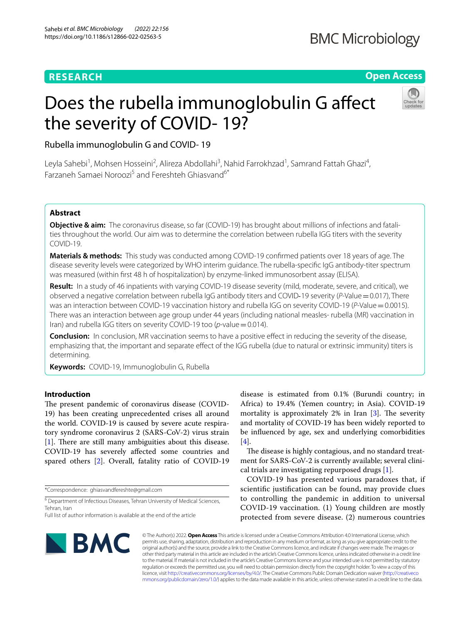# **RESEARCH**

# **BMC Microbiology**

**Open Access**

# Does the rubella immunoglobulin G affect the severity of COVID- 19?



Rubella immunoglobulin G and COVID- 19

Leyla Sahebi<sup>1</sup>, Mohsen Hosseini<sup>2</sup>, Alireza Abdollahi<sup>3</sup>, Nahid Farrokhzad<sup>1</sup>, Samrand Fattah Ghazi<sup>4</sup>, Farzaneh Samaei Noroozi5 and Fereshteh Ghiasvand6\*

## **Abstract**

**Objective & aim:** The coronavirus disease, so far (COVID-19) has brought about millions of infections and fatalities throughout the world. Our aim was to determine the correlation between rubella IGG titers with the severity COVID-19.

**Materials & methods:** This study was conducted among COVID-19 confrmed patients over 18 years of age. The disease severity levels were categorized by WHO interim guidance. The rubella-specifc IgG antibody-titer spectrum was measured (within frst 48 h of hospitalization) by enzyme-linked immunosorbent assay (ELISA).

**Result:** In a study of 46 inpatients with varying COVID-19 disease severity (mild, moderate, severe, and critical), we observed a negative correlation between rubella IgG antibody titers and COVID‐19 severity (*P*-Value=0.017), There was an interaction between COVID-19 vaccination history and rubella IGG on severity COVID-19 (*P*-Value = 0.0015). There was an interaction between age group under 44 years (including national measles- rubella (MR) vaccination in Iran) and rubella IGG titers on severity COVID-19 too (*p*-value = 0.014).

**Conclusion:** In conclusion, MR vaccination seems to have a positive effect in reducing the severity of the disease, emphasizing that, the important and separate efect of the IGG rubella (due to natural or extrinsic immunity) titers is determining.

**Keywords:** COVID-19, Immunoglobulin G, Rubella

### **Introduction**

The present pandemic of coronavirus disease (COVID-19) has been creating unprecedented crises all around the world. COVID-19 is caused by severe acute respiratory syndrome coronavirus 2 (SARS-CoV-2) virus strain [[1\]](#page-8-0). There are still many ambiguities about this disease. COVID-19 has severely afected some countries and spared others [[2](#page-8-1)]. Overall, fatality ratio of COVID-19

\*Correspondence: ghiasvandfereshte@gmail.com

<sup>6</sup> Department of Infectious Diseases, Tehran University of Medical Sciences, Tehran, Iran

disease is estimated from 0.1% (Burundi country; in Africa) to 19.4% (Yemen country; in Asia). COVID-19 mortality is approximately  $2\%$  in Iran [[3\]](#page-8-2). The severity and mortality of COVID-19 has been widely reported to be infuenced by age, sex and underlying comorbidities [[4\]](#page-8-3).

The disease is highly contagious, and no standard treatment for SARS-CoV-2 is currently available; several clinical trials are investigating repurposed drugs [\[1](#page-8-0)].

COVID-19 has presented various paradoxes that, if scientifc justifcation can be found, may provide clues to controlling the pandemic in addition to universal COVID-19 vaccination. (1) Young children are mostly protected from severe disease. (2) numerous countries



© The Author(s) 2022. **Open Access** This article is licensed under a Creative Commons Attribution 4.0 International License, which permits use, sharing, adaptation, distribution and reproduction in any medium or format, as long as you give appropriate credit to the original author(s) and the source, provide a link to the Creative Commons licence, and indicate if changes were made. The images or other third party material in this article are included in the article's Creative Commons licence, unless indicated otherwise in a credit line to the material. If material is not included in the article's Creative Commons licence and your intended use is not permitted by statutory regulation or exceeds the permitted use, you will need to obtain permission directly from the copyright holder. To view a copy of this licence, visit [http://creativecommons.org/licenses/by/4.0/.](http://creativecommons.org/licenses/by/4.0/) The Creative Commons Public Domain Dedication waiver ([http://creativeco](http://creativecommons.org/publicdomain/zero/1.0/) [mmons.org/publicdomain/zero/1.0/](http://creativecommons.org/publicdomain/zero/1.0/)) applies to the data made available in this article, unless otherwise stated in a credit line to the data.

Full list of author information is available at the end of the article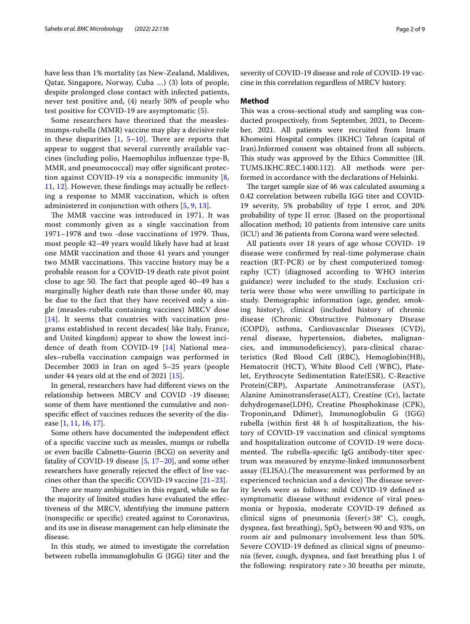have less than 1% mortality (as New-Zealand, Maldives, Qatar, Singapore, Norway, Cuba …) (3) lots of people, despite prolonged close contact with infected patients, never test positive and, (4) nearly 50% of people who test positive for COVID-19 are asymptomatic (5).

Some researchers have theorized that the measlesmumps-rubella (MMR) vaccine may play a decisive role in these disparities  $[1, 5-10]$  $[1, 5-10]$  $[1, 5-10]$  $[1, 5-10]$  $[1, 5-10]$ . There are reports that appear to suggest that several currently available vaccines (including polio, Haemophilus infuenzae type-B, MMR, and pneumococcal) may offer significant protection against COVID-19 via a nonspecific immunity  $[8, 8]$  $[8, 8]$ [11,](#page-8-7) [12\]](#page-8-8). However, these fndings may actually be refecting a response to MMR vaccination, which is often administered in conjunction with others [[5](#page-8-4), [9,](#page-8-9) [13\]](#page-8-10).

The MMR vaccine was introduced in 1971. It was most commonly given as a single vaccination from 1971–1978 and two -dose vaccinations of 1979. Tus, most people 42–49 years would likely have had at least one MMR vaccination and those 41 years and younger two MMR vaccinations. This vaccine history may be a probable reason for a COVID-19 death rate pivot point close to age 50. The fact that people aged  $40-49$  has a marginally higher death rate than those under 40, may be due to the fact that they have received only a single (measles-rubella containing vaccines) MRCV dose [[14](#page-8-11)]. It seems that countries with vaccination programs established in recent decades( like Italy, France, and United kingdom) appear to show the lowest incidence of death from COVID-19 [\[14](#page-8-11)] National measles–rubella vaccination campaign was performed in December 2003 in Iran on aged 5–25 years (people under 44 years old at the end of 2021 [[15\]](#page-8-12).

In general, researchers have had diferent views on the relationship between MRCV and COVID -19 disease; some of them have mentioned the cumulative and nonspecific effect of vaccines reduces the severity of the disease [[1,](#page-8-0) [11,](#page-8-7) [16](#page-8-13), [17\]](#page-8-14).

Some others have documented the independent efect of a specifc vaccine such as measles, mumps or rubella or even bacille Calmette-Guerin (BCG) on severity and fatality of COVID-19 disease  $[5, 17-20]$  $[5, 17-20]$  $[5, 17-20]$ , and some other researchers have generally rejected the efect of live vaccines other than the specific COVID-19 vaccine  $[21-23]$  $[21-23]$ .

There are many ambiguities in this regard, while so far the majority of limited studies have evaluated the efectiveness of the MRCV, identifying the immune pattern (nonspecifc or specifc) created against to Coronavirus, and its use in disease management can help eliminate the disease.

In this study, we aimed to investigate the correlation between rubella immunoglobulin G (IGG) titer and the severity of COVID-19 disease and role of COVID-19 vaccine in this correlation regardless of MRCV history.

#### **Method**

This was a cross-sectional study and sampling was conducted prospectively, from September, 2021, to December, 2021. All patients were recruited from Imam Khomeini Hospital complex (IKHC) Tehran (capital of Iran).Informed consent was obtained from all subjects. This study was approved by the Ethics Committee (IR. TUMS.IKHC.REC.1400.112). All methods were performed in accordance with the declarations of Helsinki.

The target sample size of 46 was calculated assuming a 0.42 correlation between rubella IGG titer and COVID-19 severity, 5% probability of type I error, and 20% probability of type II error. (Based on the proportional allocation method; 10 patients from intensive care units (ICU) and 36 patients from Corona ward were selected.

All patients over 18 years of age whose COVID- 19 disease were confrmed by real-time polymerase chain reaction (RT-PCR) or by chest computerized tomography (CT) (diagnosed according to WHO interim guidance) were included to the study. Exclusion criteria were those who were unwilling to participate in study. Demographic information (age, gender, smoking history), clinical (included history of chronic disease (Chronic Obstructive Pulmonary Disease (COPD), asthma, Cardiovascular Diseases (CVD), renal disease, hypertension, diabetes, malignancies, and immunodefciency), para-clinical characteristics (Red Blood Cell (RBC), Hemoglobin(HB), Hematocrit (HCT), White Blood Cell (WBC), Platelet, Erythrocyte Sedimentation Rate(ESR), C-Reactive Protein(CRP), Aspartate Aminotransferase (AST), Alanine Aminotransferase(ALT), Creatine (Cr), lactate dehydrogenase(LDH), Creatine Phosphokinase (CPK), Troponin,and Ddimer), Immunoglobulin G (IGG) rubella (within frst 48 h of hospitalization, the history of COVID-19 vaccination and clinical symptoms and hospitalization outcome of COVID-19 were documented. The rubella-specific IgG antibody-titer spectrum was measured by enzyme-linked immunosorbent assay (ELISA). (The measurement was performed by an experienced technician and a device) The disease severity levels were as follows: mild COVID-19 defned as symptomatic disease without evidence of viral pneumonia or hypoxia, moderate COVID-19 defned as clinical signs of pneumonia (fever(> 38° C), cough, dyspnea, fast breathing),  $SpO<sub>2</sub>$  between 90 and 93%, on room air and pulmonary involvement less than 50%. Severe COVID-19 defned as clinical signs of pneumonia (fever, cough, dyspnea, and fast breathing plus 1 of the following: respiratory rate > 30 breaths per minute,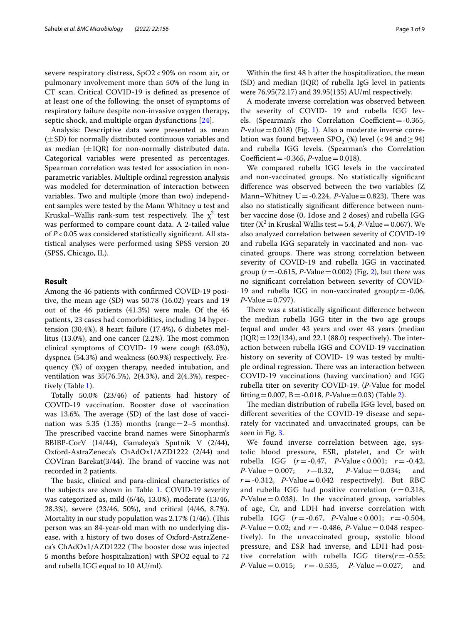severe respiratory distress, SpO2 < 90% on room air, or pulmonary involvement more than 50% of the lung in CT scan. Critical COVID-19 is defned as presence of at least one of the following: the onset of symptoms of respiratory failure despite non-invasive oxygen therapy, septic shock, and multiple organ dysfunctions [[24\]](#page-8-18).

Analysis: Descriptive data were presented as mean  $(\pm SD)$  for normally distributed continuous variables and as median  $(\pm IQR)$  for non-normally distributed data. Categorical variables were presented as percentages. Spearman correlation was tested for association in nonparametric variables. Multiple ordinal regression analysis was modeled for determination of interaction between variables. Two and multiple (more than two) independent samples were tested by the Mann Whitney u test and Kruskal–Wallis rank-sum test respectively. The  $\chi^2$  test was performed to compare count data. A 2-tailed value of *P*<0.05 was considered statistically signifcant. All statistical analyses were performed using SPSS version 20 (SPSS, Chicago, IL).

#### **Result**

Among the 46 patients with confrmed COVID-19 positive, the mean age (SD) was 50.78 (16.02) years and 19 out of the 46 patients (41.3%) were male. Of the 46 patients, 23 cases had comorbidities, including 14 hypertension (30.4%), 8 heart failure (17.4%), 6 diabetes mellitus  $(13.0\%)$ , and one cancer  $(2.2\%)$ . The most common clinical symptoms of COVID- 19 were cough (63.0%), dyspnea (54.3%) and weakness (60.9%) respectively. Frequency (%) of oxygen therapy, needed intubation, and ventilation was 35(76.5%), 2(4.3%), and 2(4.3%), respectively (Table [1\)](#page-3-0).

Totally 50.0% (23/46) of patients had history of COVID-19 vaccination. Booster dose of vaccination was 13.6%. The average  $(SD)$  of the last dose of vaccination was 5.35 (1.35) months (range $=2-5$  months). The prescribed vaccine brand names were Sinopharm's BBIBP-CorV (14/44), Gamaleya's Sputnik V (2/44), Oxford-AstraZeneca's ChAdOx1/AZD1222 (2/44) and COVIran Barekat $(3/44)$ . The brand of vaccine was not recorded in 2 patients.

The basic, clinical and para-clinical characteristics of the subjects are shown in Table [1](#page-3-0). COVID‐19 severity was categorized as, mild (6/46, 13.0%), moderate (13/46, 28.3%), severe (23/46, 50%), and critical (4/46, 8.7%). Mortality in our study population was  $2.17\%$  (1/46). (This person was an 84-year-old man with no underlying disease, with a history of two doses of Oxford-AstraZeneca's ChAdOx1/AZD1222 (The booster dose was injected 5 months before hospitalization) with SPO2 equal to 72 and rubella IGG equal to 10 AU/ml).

Within the frst 48 h after the hospitalization, the mean (SD) and median (IQR) of rubella IgG level in patients were 76.95(72.17) and 39.95(135) AU/ml respectively.

A moderate inverse correlation was observed between the severity of COVID- 19 and rubella IGG levels. (Spearman's rho Correlation Coefficient =  $-0.365$ , *P*-value=0.018) (Fig. [1](#page-4-0)). Also a moderate inverse correlation was found between SPO<sub>2</sub> (%) level (<94 and  $\geq$  94) and rubella IGG levels. (Spearman's rho Correlation Coefficient =  $-0.365$ , *P*-value = 0.018).

We compared rubella IGG levels in the vaccinated and non-vaccinated groups. No statistically signifcant diference was observed between the two variables (Z Mann–Whitney  $U = -0.224$ , *P*-Value = 0.823). There was also no statistically signifcant diference between number vaccine dose (0, 1dose and 2 doses) and rubella IGG titer ( $X^2$  in Kruskal Wallis test = 5.4, *P*-Value = 0.067). We also analyzed correlation between severity of COVID-19 and rubella IGG separately in vaccinated and non- vaccinated groups. There was strong correlation between severity of COVID-19 and rubella IGG in vaccinated group ( $r = -0.615$ ,  $P$ -Value  $= 0.002$ ) (Fig. [2\)](#page-5-0), but there was no signifcant correlation between severity of COVID-19 and rubella IGG in non-vaccinated group(*r*=-0.06, *P*-Value=0.797).

There was a statistically significant difference between the median rubella IGG titer in the two age groups (equal and under 43 years and over 43 years (median  $(IQR) = 122(134)$ , and 22.1 (88.0) respectively). The interaction between rubella IGG and COVID-19 vaccination history on severity of COVID- 19 was tested by multiple ordinal regression. There was an interaction between COVID-19 vaccinations (having vaccination) and IGG rubella titer on severity COVID-19. (*P*-Value for model fitting = 0.007, B = -0.018, *P*-Value = 0.03) (Table [2](#page-5-1)).

The median distribution of rubella IGG level, based on diferent severities of the COVID-19 disease and separately for vaccinated and unvaccinated groups, can be seen in Fig. [3.](#page-6-0)

We found inverse correlation between age, systolic blood pressure, ESR, platelet, and Cr with rubella IGG (*r* = -0.47, *P*-Value < 0.001; *r* = -0.42,<br>*P*-Value = 0.007; *r* -0.32, *P*-Value = 0.034; and  $P-Value = 0.034;$  $r = -0.312$ , *P*-Value = 0.042 respectively). But RBC and rubella IGG had positive correlation  $(r=0.318,$  $P$ -Value = 0.038). In the vaccinated group, variables of age, Cr, and LDH had inverse correlation with rubella IGG (*r* = -0.67, *P*-Value < 0.001; *r* = -0.504, *P*-Value = 0.02; and  $r = -0.486$ , *P*-Value = 0.048 respectively). In the unvaccinated group, systolic blood pressure, and ESR had inverse, and LDH had positive correlation with rubella IGG titers( $r = -0.55$ ;<br> $P$ -Value = 0.015;  $r = -0.535$ ,  $P$ -Value = 0.027; and  $P-Value = 0.015;$   $r = -0.535,$   $P-Value = 0.027;$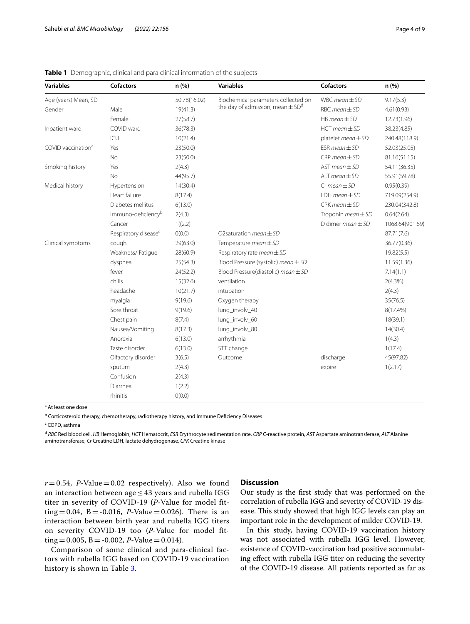| <b>Variables</b>               | <b>Cofactors</b>                 | n(%)         | <b>Variables</b>                                 | Cofactors                     | n (%)           |
|--------------------------------|----------------------------------|--------------|--------------------------------------------------|-------------------------------|-----------------|
| Age (years) Mean, SD           |                                  | 50.78(16.02) | Biochemical parameters collected on              | $WBC mean \pm SD$             | 9.17(5.3)       |
| Gender                         | Male                             | 19(41.3)     | the day of admission, mean $\pm$ SD <sup>d</sup> | $RBC mean \pm SD$             | 4.61(0.93)      |
|                                | Female                           | 27(58.7)     |                                                  | $HB$ mean $\pm$ SD            | 12.73(1.96)     |
| Inpatient ward                 | COVID ward                       | 36(78.3)     |                                                  | $HCT$ mean $\pm$ SD           | 38.23(4.85)     |
|                                | ICU                              | 10(21.4)     |                                                  | platelet $mean \pm SD$        | 240.48(118.9)   |
| COVID vaccination <sup>a</sup> | Yes                              | 23(50.0)     |                                                  | $ESR$ mean $\pm$ SD           | 52.03(25.05)    |
|                                | No                               | 23(50.0)     |                                                  | $CRP$ mean $\pm$ SD           | 81.16(51.15)    |
| Smoking history                | Yes                              | 2(4.3)       |                                                  | $AST mean \pm SD$             | 54.11(36.35)    |
|                                | <b>No</b>                        | 44(95.7)     |                                                  | $ALT$ mean $\pm$ SD           | 55.91(59.78)    |
| Medical history                | Hypertension                     | 14(30.4)     |                                                  | $Cr$ mean $\pm$ SD            | 0.95(0.39)      |
|                                | Heart failure                    | 8(17.4)      |                                                  | $LDH$ mean $\pm$ SD           | 719.09(254.9)   |
|                                | Diabetes mellitus                | 6(13.0)      |                                                  | $CPK$ mean $\pm$ SD           | 230.04(342.8)   |
|                                | Immuno-deficiency <sup>b</sup>   | 2(4.3)       |                                                  | Troponin <i>mean</i> $\pm$ SD | 0.64(2.64)      |
|                                | Cancer                           | 1((2.2)      |                                                  | D dimer mean $\pm$ SD         | 1068.64(901.69) |
|                                | Respiratory disease <sup>c</sup> | O(0.0)       | O2saturation $mean \pm SD$                       |                               | 87.71(7.6)      |
| Clinical symptoms              | cough                            | 29(63.0)     | Temperature mean ± SD                            |                               | 36.77(0.36)     |
|                                | Weakness/Fatique                 | 28(60.9)     | Respiratory rate mean $\pm$ SD                   |                               | 19.82(5.5)      |
|                                | dyspnea                          | 25(54.3)     | Blood Pressure (systolic) mean $\pm$ SD          |                               | 11.59(1.36)     |
|                                | fever                            | 24(52.2)     | Blood Pressure(diastolic) mean $\pm$ SD          |                               | 7.14(1.1)       |
|                                | chills                           | 15(32.6)     | ventilation                                      |                               | 2(4.3%)         |
|                                | headache                         | 10(21.7)     | intubation                                       |                               | 2(4.3)          |
|                                | myalgia                          | 9(19.6)      | Oxygen therapy                                   |                               | 35(76.5)        |
|                                | Sore throat                      | 9(19.6)      | lung_involv_40                                   |                               | 8(17.4%)        |
|                                | Chest pain                       | 8(7.4)       | lung_involv_60                                   |                               | 18(39.1)        |
|                                | Nausea/Vomiting                  | 8(17.3)      | lung_involv_80                                   |                               | 14(30.4)        |
|                                | Anorexia                         | 6(13.0)      | arrhythmia                                       |                               | 1(4.3)          |
|                                | Taste disorder                   | 6(13.0)      | STT change                                       |                               | 1(17.4)         |
|                                | Olfactory disorder               | 3(6.5)       | Outcome                                          | discharge                     | 45(97.82)       |
|                                | sputum                           | 2(4.3)       |                                                  | expire                        | 1(2.17)         |
|                                | Confusion                        | 2(4.3)       |                                                  |                               |                 |
|                                | Diarrhea                         | 1(2.2)       |                                                  |                               |                 |
|                                | rhinitis                         | O(0.0)       |                                                  |                               |                 |

<span id="page-3-0"></span>**Table 1** Demographic, clinical and para clinical information of the subjects

<sup>a</sup> At least one dose

<sup>b</sup> Corticosteroid therapy, chemotherapy, radiotherapy history, and Immune Deficiency Diseases

<sup>c</sup> COPD, asthma

<sup>d</sup> *RBC* Red blood cell, *HB* Hemoglobin, *HCT* Hematocrit, *ESR* Erythrocyte sedimentation rate, *CRP* C-reactive protein, *AST* Aspartate aminotransferase, *ALT* Alanine aminotransferase, *Cr* Creatine LDH, lactate dehydrogenase, *CPK* Creatine kinase

 $r = 0.54$ , *P*-Value = 0.02 respectively). Also we found an interaction between age  $\leq$  43 years and rubella IGG titer in severity of COVID-19 (*P*-Value for model fitting = 0.04,  $B = -0.016$ , *P*-Value = 0.026). There is an interaction between birth year and rubella IGG titers on severity COVID-19 too (*P*-Value for model fitting =  $0.005$ , B =  $-0.002$ , P-Value =  $0.014$ ).

Comparison of some clinical and para-clinical factors with rubella IGG based on COVID-19 vaccination history is shown in Table [3.](#page-6-1)

#### **Discussion**

Our study is the frst study that was performed on the correlation of rubella IGG and severity of COVID-19 disease. This study showed that high IGG levels can play an important role in the development of milder COVID-19.

In this study, having COVID-19 vaccination history was not associated with rubella IGG level. However, existence of COVID-vaccination had positive accumulating effect with rubella IGG titer on reducing the severity of the COVID-19 disease. All patients reported as far as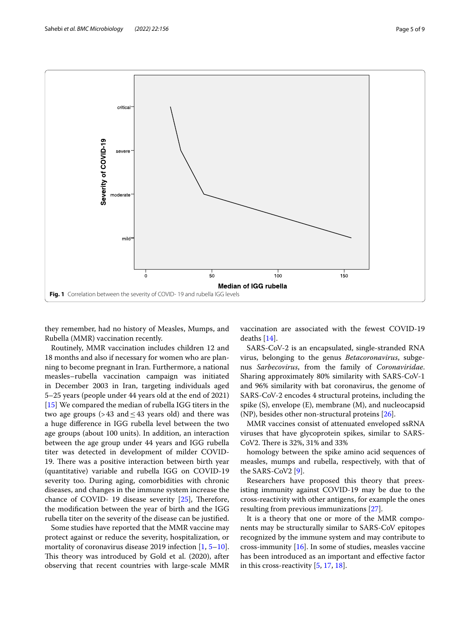

<span id="page-4-0"></span>they remember, had no history of Measles, Mumps, and Rubella (MMR) vaccination recently.

Routinely, MMR vaccination includes children 12 and 18 months and also if necessary for women who are planning to become pregnant in Iran. Furthermore, a national measles–rubella vaccination campaign was initiated in December 2003 in Iran, targeting individuals aged 5–25 years (people under 44 years old at the end of 2021) [[15\]](#page-8-12) We compared the median of rubella IGG titers in the two age groups (>43 and  $\leq$ 43 years old) and there was a huge diference in IGG rubella level between the two age groups (about 100 units). In addition, an interaction between the age group under 44 years and IGG rubella titer was detected in development of milder COVID-19. There was a positive interaction between birth year (quantitative) variable and rubella IGG on COVID-19 severity too. During aging, comorbidities with chronic diseases, and changes in the immune system increase the chance of COVID- 19 disease severity  $[25]$  $[25]$ , Therefore, the modifcation between the year of birth and the IGG rubella titer on the severity of the disease can be justifed.

Some studies have reported that the MMR vaccine may protect against or reduce the severity, hospitalization, or mortality of coronavirus disease 2019 infection [[1,](#page-8-0) [5](#page-8-4)[–10](#page-8-5)]. This theory was introduced by Gold et al. (2020), after observing that recent countries with large-scale MMR vaccination are associated with the fewest COVID-19 deaths [[14\]](#page-8-11).

SARS-CoV-2 is an encapsulated, single-stranded RNA virus, belonging to the genus *Betacoronavirus*, subgenus *Sarbecovirus*, from the family of *Coronaviridae*. Sharing approximately 80% similarity with SARS-CoV-1 and 96% similarity with bat coronavirus, the genome of SARS-CoV-2 encodes 4 structural proteins, including the spike (S), envelope (E), membrane (M), and nucleocapsid  $(NP)$ , besides other non-structural proteins  $[26]$  $[26]$ .

MMR vaccines consist of attenuated enveloped ssRNA viruses that have glycoprotein spikes, similar to SARS-CoV2. There is 32%, 31% and 33%

homology between the spike amino acid sequences of measles, mumps and rubella, respectively, with that of the SARS-CoV2 [[9\]](#page-8-9).

Researchers have proposed this theory that preexisting immunity against COVID-19 may be due to the cross-reactivity with other antigens, for example the ones resulting from previous immunizations [\[27\]](#page-8-21).

It is a theory that one or more of the MMR components may be structurally similar to SARS-CoV epitopes recognized by the immune system and may contribute to cross-immunity [\[16](#page-8-13)]. In some of studies, measles vaccine has been introduced as an important and efective factor in this cross-reactivity [[5,](#page-8-4) [17](#page-8-14), [18](#page-8-22)].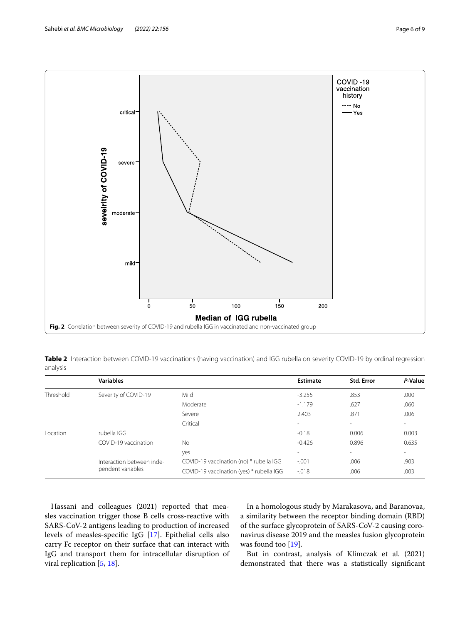

<span id="page-5-1"></span><span id="page-5-0"></span>**Table 2** Interaction between COVID-19 vaccinations (having vaccination) and IGG rubella on severity COVID-19 by ordinal regression analysis

|               | <b>Variables</b>                               |                                          | Estimate                                                                                                         | <b>Std. Error</b>        | P-Value |
|---------------|------------------------------------------------|------------------------------------------|------------------------------------------------------------------------------------------------------------------|--------------------------|---------|
| Threshold     | Severity of COVID-19                           | Mild                                     | $-3.255$                                                                                                         | .853                     | .000    |
|               |                                                | Moderate                                 | $-1.179$                                                                                                         | .627                     | .060    |
|               |                                                | Severe                                   | 2.403                                                                                                            | .871                     | .006    |
|               |                                                | Critical                                 | $\overline{\phantom{a}}$                                                                                         | $\overline{\phantom{a}}$ |         |
| <i>cation</i> | rubella IGG                                    |                                          | $-0.18$                                                                                                          | 0.006                    | 0.003   |
|               | COVID-19 vaccination                           | No                                       | $-0.426$<br>0.896<br>$\overline{\phantom{a}}$<br>$\overline{\phantom{a}}$<br>$-.001$<br>.006<br>$-0.018$<br>.006 | 0.635                    |         |
|               |                                                | yes                                      |                                                                                                                  |                          | $\sim$  |
|               | Interaction between inde-<br>pendent variables | COVID-19 vaccination (no) * rubella IGG  |                                                                                                                  |                          | .903    |
|               |                                                | COVID-19 vaccination (yes) * rubella IGG |                                                                                                                  |                          | .003    |

Hassani and colleagues (2021) reported that measles vaccination trigger those B cells cross-reactive with SARS-CoV-2 antigens leading to production of increased levels of measles-specifc IgG [[17\]](#page-8-14). Epithelial cells also carry Fc receptor on their surface that can interact with IgG and transport them for intracellular disruption of viral replication [[5](#page-8-4), [18\]](#page-8-22).

In a homologous study by Marakasova, and Baranovaa, a similarity between the receptor binding domain (RBD) of the surface glycoprotein of SARS-CoV-2 causing coronavirus disease 2019 and the measles fusion glycoprotein was found too  $[19]$  $[19]$ .

But in contrast, analysis of Klimczak et al. (2021) demonstrated that there was a statistically signifcant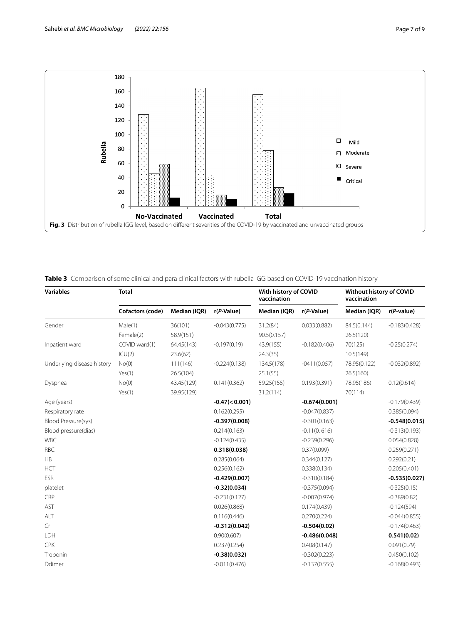



## <span id="page-6-1"></span><span id="page-6-0"></span>**Table 3** Comparison of some clinical and para clinical factors with rubella IGG based on COVID-19 vaccination history

| <b>Variables</b>           | <b>Total</b>     |              |                  | With history of COVID<br>vaccination |                 | Without history of COVID<br>vaccination |                 |
|----------------------------|------------------|--------------|------------------|--------------------------------------|-----------------|-----------------------------------------|-----------------|
|                            | Cofactors (code) | Median (IQR) | $r(P-Value)$     | Median (IQR)                         | $r(P-Value)$    | Median (IQR)                            | $r(P-value)$    |
| Gender                     | Male(1)          | 36(101)      | $-0.043(0.775)$  | 31.2(84)                             | 0.033(0.882)    | 84.5(0.144)                             | $-0.183(0.428)$ |
|                            | Female(2)        | 58.9(151)    |                  | 90.5(0.157)                          |                 | 26.5(120)                               |                 |
| Inpatient ward             | COVID ward(1)    | 64.45(143)   | $-0.197(0.19)$   | 43.9(155)                            | $-0.182(0.406)$ | 70(125)                                 | $-0.25(0.274)$  |
|                            | ICU(2)           | 23.6(62)     |                  | 24.3(35)                             |                 | 10.5(149)                               |                 |
| Underlying disease history | No(0)            | 111(146)     | $-0.224(0.138)$  | 134.5(178)                           | $-0411(0.057)$  | 78.95(0.122)                            | $-0.032(0.892)$ |
|                            | Yes(1)           | 26.5(104)    |                  | 25.1(55)                             |                 | 26.5(160)                               |                 |
| Dyspnea                    | No(0)            | 43.45(129)   | 0.141(0.362)     | 59.25(155)                           | 0.193(0.391)    | 78.95(186)                              | 0.12(0.614)     |
|                            | Yes(1)           | 39.95(129)   |                  | 31.2(114)                            |                 | 70(114)                                 |                 |
| Age (years)                |                  |              | $-0.47(< 0.001)$ |                                      | $-0.674(0.001)$ |                                         | $-0.179(0.439)$ |
| Respiratory rate           |                  |              | 0.162(0.295)     |                                      | $-0.047(0.837)$ |                                         | 0.385(0.094)    |
| Blood Pressure(sys)        |                  |              | $-0.397(0.008)$  |                                      | $-0.301(0.163)$ |                                         | $-0.548(0.015)$ |
| Blood pressure(dias)       |                  |              | 0.214(0.163)     |                                      | $-0.11(0.616)$  |                                         | $-0.313(0.193)$ |
| <b>WBC</b>                 |                  |              | $-0.124(0.435)$  |                                      | $-0.239(0.296)$ |                                         | 0.054(0.828)    |
| <b>RBC</b>                 |                  |              | 0.318(0.038)     |                                      | 0.37(0.099)     |                                         | 0.259(0.271)    |
| HB                         |                  |              | 0.285(0.064)     |                                      | 0.344(0.127)    |                                         | 0.292(0.21)     |
| <b>HCT</b>                 |                  |              | 0.256(0.162)     |                                      | 0.338(0.134)    |                                         | 0.205(0.401)    |
| <b>ESR</b>                 |                  |              | $-0.429(0.007)$  |                                      | $-0.310(0.184)$ |                                         | $-0.535(0.027)$ |
| platelet                   |                  |              | $-0.32(0.034)$   |                                      | $-0.375(0.094)$ |                                         | $-0.325(0.15)$  |
| CRP                        |                  |              | $-0.231(0.127)$  |                                      | $-0.007(0.974)$ |                                         | $-0.389(0.82)$  |
| AST                        |                  |              | 0.026(0.868)     |                                      | 0.174(0.439)    |                                         | $-0.124(594)$   |
| ALT                        |                  |              | 0.116(0.446)     |                                      | 0.270(0.224)    |                                         | $-0.044(0.855)$ |
| Cr                         |                  |              | $-0.312(0.042)$  |                                      | $-0.504(0.02)$  |                                         | $-0.174(0.463)$ |
| LDH                        |                  |              | 0.90(0.607)      |                                      | $-0.486(0.048)$ |                                         | 0.541(0.02)     |
| CPK                        |                  |              | 0.237(0.254)     |                                      | 0.408(0.147)    |                                         | 0.091(0.79)     |
| Troponin                   |                  |              | $-0.38(0.032)$   |                                      | $-0.302(0.223)$ |                                         | 0.450(0.102)    |
| Ddimer                     |                  |              | $-0.011(0.476)$  |                                      | $-0.137(0.555)$ |                                         | $-0.168(0.493)$ |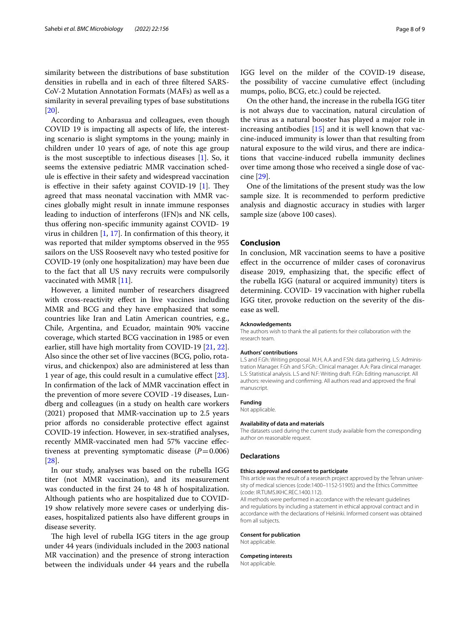similarity between the distributions of base substitution densities in rubella and in each of three fltered SARS-CoV-2 Mutation Annotation Formats (MAFs) as well as a similarity in several prevailing types of base substitutions [[20\]](#page-8-15).

According to Anbarasua and colleagues, even though COVID 19 is impacting all aspects of life, the interesting scenario is slight symptoms in the young; mainly in children under 10 years of age, of note this age group is the most susceptible to infectious diseases [\[1\]](#page-8-0). So, it seems the extensive pediatric MMR vaccination schedule is efective in their safety and widespread vaccination is effective in their safety against COVID-19  $[1]$  $[1]$ . They agreed that mass neonatal vaccination with MMR vaccines globally might result in innate immune responses leading to induction of interferons (IFN)s and NK cells, thus ofering non-specifc immunity against COVID- 19 virus in children [\[1,](#page-8-0) [17\]](#page-8-14). In confrmation of this theory, it was reported that milder symptoms observed in the 955 sailors on the USS Roosevelt navy who tested positive for COVID-19 (only one hospitalization) may have been due to the fact that all US navy recruits were compulsorily vaccinated with MMR [[11\]](#page-8-7).

However, a limited number of researchers disagreed with cross-reactivity efect in live vaccines including MMR and BCG and they have emphasized that some countries like Iran and Latin American countries, e.g., Chile, Argentina, and Ecuador, maintain 90% vaccine coverage, which started BCG vaccination in 1985 or even earlier, still have high mortality from COVID-19 [[21](#page-8-16), [22](#page-8-24)]. Also since the other set of live vaccines (BCG, polio, rotavirus, and chickenpox) also are administered at less than 1 year of age, this could result in a cumulative efect [\[23](#page-8-17)]. In confrmation of the lack of MMR vaccination efect in the prevention of more severe COVID -19 diseases, Lundberg and colleagues (in a study on health care workers (2021) proposed that MMR-vaccination up to 2.5 years prior affords no considerable protective effect against COVID-19 infection. However, in sex-stratifed analyses, recently MMR-vaccinated men had 57% vaccine efectiveness at preventing symptomatic disease  $(P=0.006)$ [[28\]](#page-8-25).

In our study, analyses was based on the rubella IGG titer (not MMR vaccination), and its measurement was conducted in the frst 24 to 48 h of hospitalization. Although patients who are hospitalized due to COVID-19 show relatively more severe cases or underlying diseases, hospitalized patients also have diferent groups in disease severity.

The high level of rubella IGG titers in the age group under 44 years (individuals included in the 2003 national MR vaccination) and the presence of strong interaction between the individuals under 44 years and the rubella IGG level on the milder of the COVID-19 disease, the possibility of vaccine cumulative efect (including mumps, polio, BCG, etc.) could be rejected.

On the other hand, the increase in the rubella IGG titer is not always due to vaccination, natural circulation of the virus as a natural booster has played a major role in increasing antibodies [[15](#page-8-12)] and it is well known that vaccine-induced immunity is lower than that resulting from natural exposure to the wild virus, and there are indications that vaccine-induced rubella immunity declines over time among those who received a single dose of vaccine [\[29](#page-8-26)].

One of the limitations of the present study was the low sample size. It is recommended to perform predictive analysis and diagnostic accuracy in studies with larger sample size (above 100 cases).

#### **Conclusion**

In conclusion, MR vaccination seems to have a positive efect in the occurrence of milder cases of coronavirus disease 2019, emphasizing that, the specifc efect of the rubella IGG (natural or acquired immunity) titers is determining. COVID- 19 vaccination with higher rubella IGG titer, provoke reduction on the severity of the disease as well.

#### **Acknowledgements**

The authors wish to thank the all patients for their collaboration with the research team.

#### **Authors' contributions**

L.S and F.Gh: Writing proposal. M.H, A.A and F.SN: data gathering. L.S: Administration Manager. F.Gh and S.FGh.: Clinical manager. A.A: Para clinical manager. L.S: Statistical analysis. L.S and N.F: Writing draft. F.Gh: Editing manuscript. All authors: reviewing and confrming. All authors read and approved the fnal manuscript.

#### **Funding**

Not applicable.

#### **Availability of data and materials**

The datasets used during the current study available from the corresponding author on reasonable request.

#### **Declarations**

#### **Ethics approval and consent to participate**

This article was the result of a research project approved by the Tehran university of medical sciences (code:1400–1152-51905) and the Ethics Committee (code: IR.TUMS.IKHC.REC.1400.112).

All methods were performed in accordance with the relevant guidelines and regulations by including a statement in ethical approval contract and in accordance with the declarations of Helsinki. Informed consent was obtained from all subjects.

#### **Consent for publication**

Not applicable.

#### **Competing interests**

Not applicable.